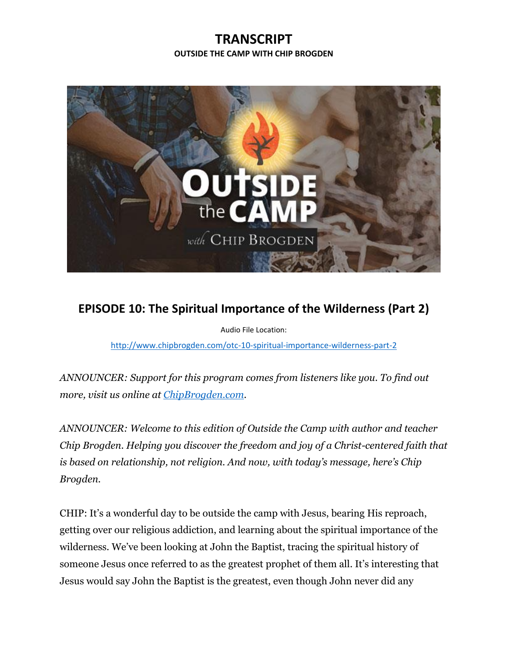## **TRANSCRIPT OUTSIDE THE CAMP WITH CHIP BROGDEN**



## **EPISODE 10: The Spiritual Importance of the Wilderness (Part 2)**

Audio File Location:

<http://www.chipbrogden.com/otc-10-spiritual-importance-wilderness-part-2>

*ANNOUNCER: Support for this program comes from listeners like you. To find out more, visit us online at [ChipBrogden.com.](http://www.chipbrogden.com/)*

*ANNOUNCER: Welcome to this edition of Outside the Camp with author and teacher Chip Brogden. Helping you discover the freedom and joy of a Christ-centered faith that is based on relationship, not religion. And now, with today's message, here's Chip Brogden.*

CHIP: It's a wonderful day to be outside the camp with Jesus, bearing His reproach, getting over our religious addiction, and learning about the spiritual importance of the wilderness. We've been looking at John the Baptist, tracing the spiritual history of someone Jesus once referred to as the greatest prophet of them all. It's interesting that Jesus would say John the Baptist is the greatest, even though John never did any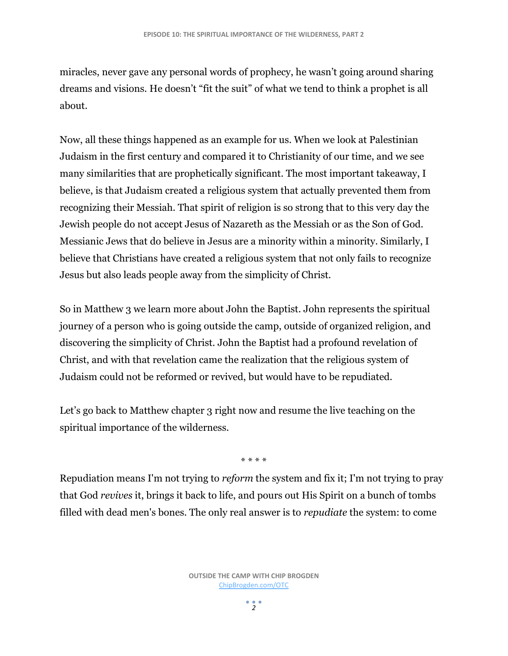miracles, never gave any personal words of prophecy, he wasn't going around sharing dreams and visions. He doesn't "fit the suit" of what we tend to think a prophet is all about.

Now, all these things happened as an example for us. When we look at Palestinian Judaism in the first century and compared it to Christianity of our time, and we see many similarities that are prophetically significant. The most important takeaway, I believe, is that Judaism created a religious system that actually prevented them from recognizing their Messiah. That spirit of religion is so strong that to this very day the Jewish people do not accept Jesus of Nazareth as the Messiah or as the Son of God. Messianic Jews that do believe in Jesus are a minority within a minority. Similarly, I believe that Christians have created a religious system that not only fails to recognize Jesus but also leads people away from the simplicity of Christ.

So in Matthew 3 we learn more about John the Baptist. John represents the spiritual journey of a person who is going outside the camp, outside of organized religion, and discovering the simplicity of Christ. John the Baptist had a profound revelation of Christ, and with that revelation came the realization that the religious system of Judaism could not be reformed or revived, but would have to be repudiated.

Let's go back to Matthew chapter 3 right now and resume the live teaching on the spiritual importance of the wilderness.

\* \* \* \*

Repudiation means I'm not trying to *reform* the system and fix it; I'm not trying to pray that God *revives* it, brings it back to life, and pours out His Spirit on a bunch of tombs filled with dead men's bones. The only real answer is to *repudiate* the system: to come

> **OUTSIDE THE CAMP WITH CHIP BROGDEN** [ChipBrogden.com/OTC](http://chipbrogden.com/OTC)

> > $2<sup>2</sup>$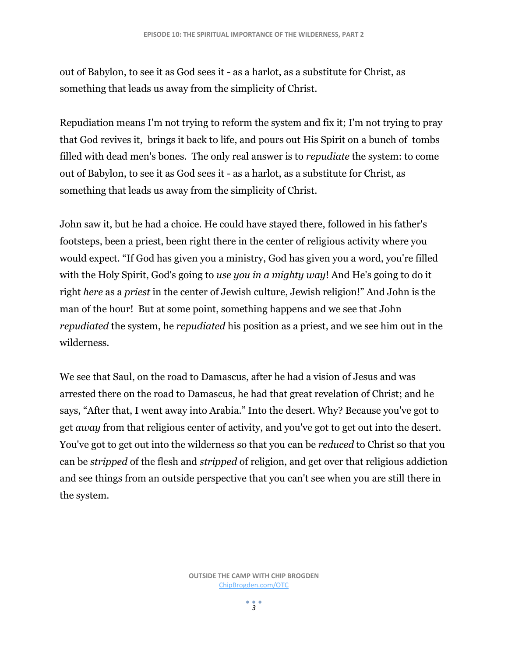out of Babylon, to see it as God sees it - as a harlot, as a substitute for Christ, as something that leads us away from the simplicity of Christ.

Repudiation means I'm not trying to reform the system and fix it; I'm not trying to pray that God revives it, brings it back to life, and pours out His Spirit on a bunch of tombs filled with dead men's bones. The only real answer is to *repudiate* the system: to come out of Babylon, to see it as God sees it - as a harlot, as a substitute for Christ, as something that leads us away from the simplicity of Christ.

John saw it, but he had a choice. He could have stayed there, followed in his father's footsteps, been a priest, been right there in the center of religious activity where you would expect. "If God has given you a ministry, God has given you a word, you're filled with the Holy Spirit, God's going to *use you in a mighty way*! And He's going to do it right *here* as a *priest* in the center of Jewish culture, Jewish religion!" And John is the man of the hour! But at some point, something happens and we see that John *repudiated* the system, he *repudiated* his position as a priest, and we see him out in the wilderness.

We see that Saul, on the road to Damascus, after he had a vision of Jesus and was arrested there on the road to Damascus, he had that great revelation of Christ; and he says, "After that, I went away into Arabia." Into the desert. Why? Because you've got to get *away* from that religious center of activity, and you've got to get out into the desert. You've got to get out into the wilderness so that you can be *reduced* to Christ so that you can be *stripped* of the flesh and *stripped* of religion, and get over that religious addiction and see things from an outside perspective that you can't see when you are still there in the system.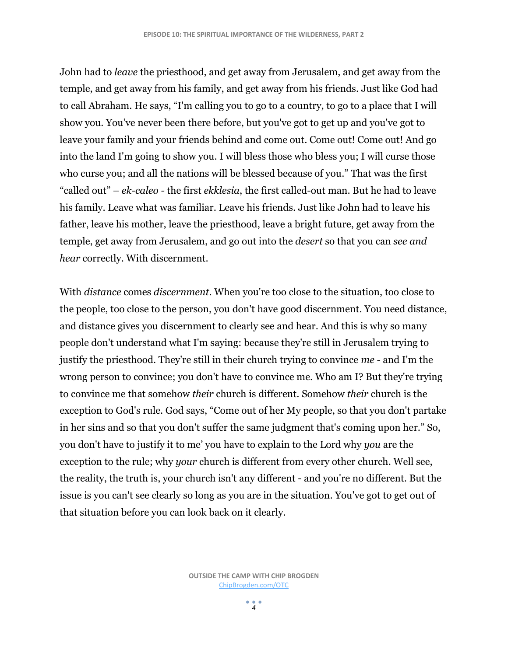John had to *leave* the priesthood, and get away from Jerusalem, and get away from the temple, and get away from his family, and get away from his friends. Just like God had to call Abraham. He says, "I'm calling you to go to a country, to go to a place that I will show you. You've never been there before, but you've got to get up and you've got to leave your family and your friends behind and come out. Come out! Come out! And go into the land I'm going to show you. I will bless those who bless you; I will curse those who curse you; and all the nations will be blessed because of you." That was the first "called out" – *ek-caleo -* the first *ekklesia*, the first called-out man. But he had to leave his family. Leave what was familiar. Leave his friends. Just like John had to leave his father, leave his mother, leave the priesthood, leave a bright future, get away from the temple, get away from Jerusalem, and go out into the *desert* so that you can *see and hear* correctly. With discernment.

With *distance* comes *discernment*. When you're too close to the situation, too close to the people, too close to the person, you don't have good discernment. You need distance, and distance gives you discernment to clearly see and hear. And this is why so many people don't understand what I'm saying: because they're still in Jerusalem trying to justify the priesthood. They're still in their church trying to convince *me* - and I'm the wrong person to convince; you don't have to convince me. Who am I? But they're trying to convince me that somehow *their* church is different. Somehow *their* church is the exception to God's rule. God says, "Come out of her My people, so that you don't partake in her sins and so that you don't suffer the same judgment that's coming upon her." So, you don't have to justify it to me' you have to explain to the Lord why *you* are the exception to the rule; why *your* church is different from every other church. Well see, the reality, the truth is, your church isn't any different - and you're no different. But the issue is you can't see clearly so long as you are in the situation. You've got to get out of that situation before you can look back on it clearly.

> **OUTSIDE THE CAMP WITH CHIP BROGDEN** [ChipBrogden.com/OTC](http://chipbrogden.com/OTC)

> > $\frac{1}{4}$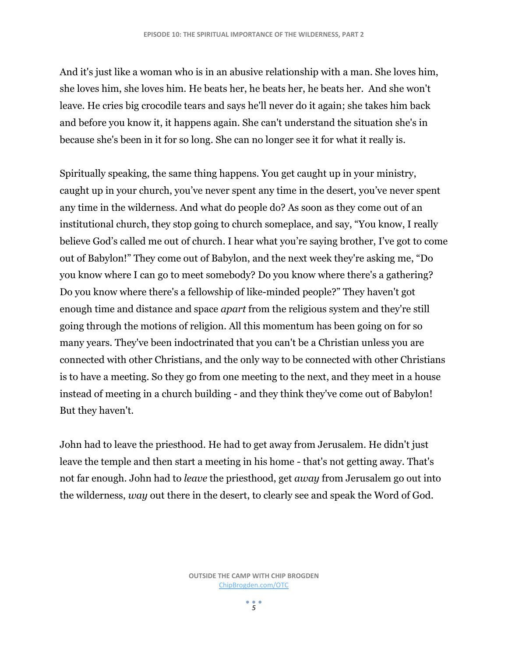And it's just like a woman who is in an abusive relationship with a man. She loves him, she loves him, she loves him. He beats her, he beats her, he beats her. And she won't leave. He cries big crocodile tears and says he'll never do it again; she takes him back and before you know it, it happens again. She can't understand the situation she's in because she's been in it for so long. She can no longer see it for what it really is.

Spiritually speaking, the same thing happens. You get caught up in your ministry, caught up in your church, you've never spent any time in the desert, you've never spent any time in the wilderness. And what do people do? As soon as they come out of an institutional church, they stop going to church someplace, and say, "You know, I really believe God's called me out of church. I hear what you're saying brother, I've got to come out of Babylon!" They come out of Babylon, and the next week they're asking me, "Do you know where I can go to meet somebody? Do you know where there's a gathering? Do you know where there's a fellowship of like-minded people?" They haven't got enough time and distance and space *apart* from the religious system and they're still going through the motions of religion. All this momentum has been going on for so many years. They've been indoctrinated that you can't be a Christian unless you are connected with other Christians, and the only way to be connected with other Christians is to have a meeting. So they go from one meeting to the next, and they meet in a house instead of meeting in a church building - and they think they've come out of Babylon! But they haven't.

John had to leave the priesthood. He had to get away from Jerusalem. He didn't just leave the temple and then start a meeting in his home - that's not getting away. That's not far enough. John had to *leave* the priesthood, get *away* from Jerusalem go out into the wilderness, *way* out there in the desert, to clearly see and speak the Word of God.

 $\frac{1}{5}$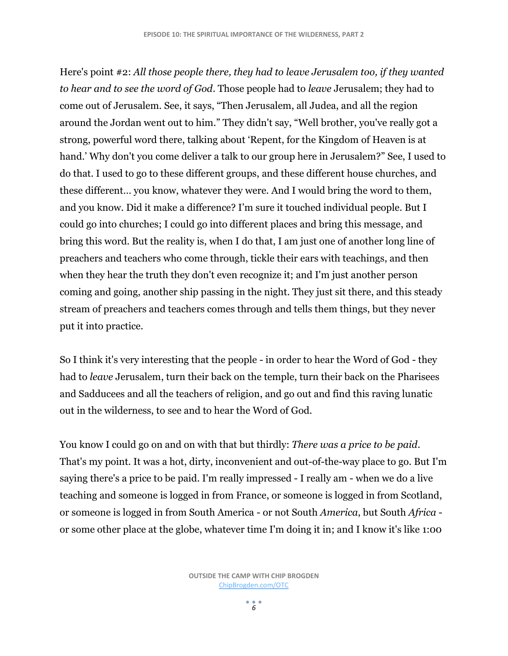Here's point #2: *All those people there, they had to leave Jerusalem too, if they wanted to hear and to see the word of God*. Those people had to *leave* Jerusalem; they had to come out of Jerusalem. See, it says, "Then Jerusalem, all Judea, and all the region around the Jordan went out to him." They didn't say, "Well brother, you've really got a strong, powerful word there, talking about 'Repent, for the Kingdom of Heaven is at hand.' Why don't you come deliver a talk to our group here in Jerusalem?" See, I used to do that. I used to go to these different groups, and these different house churches, and these different… you know, whatever they were. And I would bring the word to them, and you know. Did it make a difference? I'm sure it touched individual people. But I could go into churches; I could go into different places and bring this message, and bring this word. But the reality is, when I do that, I am just one of another long line of preachers and teachers who come through, tickle their ears with teachings, and then when they hear the truth they don't even recognize it; and I'm just another person coming and going, another ship passing in the night. They just sit there, and this steady stream of preachers and teachers comes through and tells them things, but they never put it into practice.

So I think it's very interesting that the people - in order to hear the Word of God - they had to *leave* Jerusalem, turn their back on the temple, turn their back on the Pharisees and Sadducees and all the teachers of religion, and go out and find this raving lunatic out in the wilderness, to see and to hear the Word of God.

You know I could go on and on with that but thirdly: *There was a price to be paid*. That's my point. It was a hot, dirty, inconvenient and out-of-the-way place to go. But I'm saying there's a price to be paid. I'm really impressed - I really am - when we do a live teaching and someone is logged in from France, or someone is logged in from Scotland, or someone is logged in from South America - or not South *America*, but South *Africa* or some other place at the globe, whatever time I'm doing it in; and I know it's like 1:00

 $\frac{1}{6}$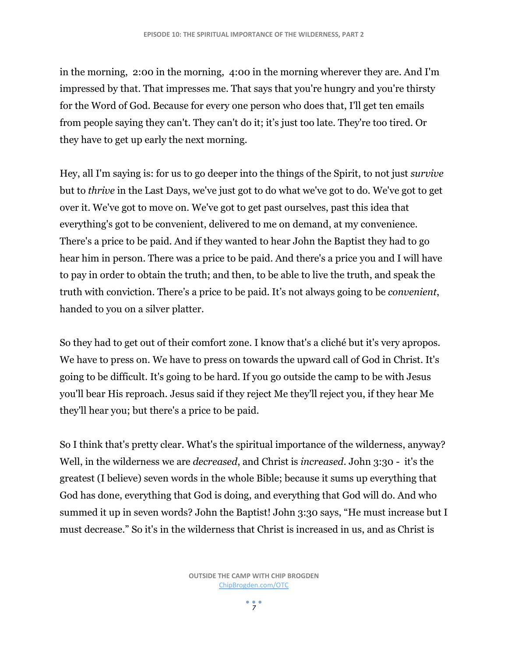in the morning, 2:00 in the morning, 4:00 in the morning wherever they are. And I'm impressed by that. That impresses me. That says that you're hungry and you're thirsty for the Word of God. Because for every one person who does that, I'll get ten emails from people saying they can't. They can't do it; it's just too late. They're too tired. Or they have to get up early the next morning.

Hey, all I'm saying is: for us to go deeper into the things of the Spirit, to not just *survive* but to *thrive* in the Last Days, we've just got to do what we've got to do. We've got to get over it. We've got to move on. We've got to get past ourselves, past this idea that everything's got to be convenient, delivered to me on demand, at my convenience. There's a price to be paid. And if they wanted to hear John the Baptist they had to go hear him in person. There was a price to be paid. And there's a price you and I will have to pay in order to obtain the truth; and then, to be able to live the truth, and speak the truth with conviction. There's a price to be paid. It's not always going to be *convenient*, handed to you on a silver platter.

So they had to get out of their comfort zone. I know that's a cliché but it's very apropos. We have to press on. We have to press on towards the upward call of God in Christ. It's going to be difficult. It's going to be hard. If you go outside the camp to be with Jesus you'll bear His reproach. Jesus said if they reject Me they'll reject you, if they hear Me they'll hear you; but there's a price to be paid.

So I think that's pretty clear. What's the spiritual importance of the wilderness, anyway? Well, in the wilderness we are *decreased*, and Christ is *increased*. John 3:30 - it's the greatest (I believe) seven words in the whole Bible; because it sums up everything that God has done, everything that God is doing, and everything that God will do. And who summed it up in seven words? John the Baptist! John 3:30 says, "He must increase but I must decrease." So it's in the wilderness that Christ is increased in us, and as Christ is

 $\frac{1}{7}$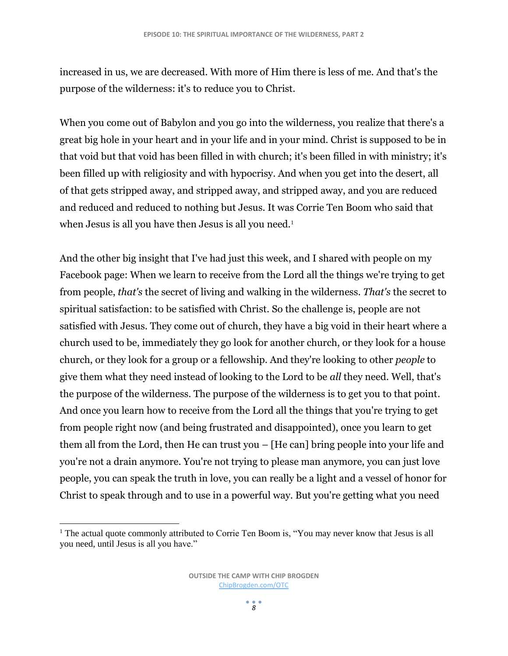increased in us, we are decreased. With more of Him there is less of me. And that's the purpose of the wilderness: it's to reduce you to Christ.

When you come out of Babylon and you go into the wilderness, you realize that there's a great big hole in your heart and in your life and in your mind. Christ is supposed to be in that void but that void has been filled in with church; it's been filled in with ministry; it's been filled up with religiosity and with hypocrisy. And when you get into the desert, all of that gets stripped away, and stripped away, and stripped away, and you are reduced and reduced and reduced to nothing but Jesus. It was Corrie Ten Boom who said that when Jesus is all you have then Jesus is all you need.<sup>1</sup>

And the other big insight that I've had just this week, and I shared with people on my Facebook page: When we learn to receive from the Lord all the things we're trying to get from people, *that's* the secret of living and walking in the wilderness. *That's* the secret to spiritual satisfaction: to be satisfied with Christ. So the challenge is, people are not satisfied with Jesus. They come out of church, they have a big void in their heart where a church used to be, immediately they go look for another church, or they look for a house church, or they look for a group or a fellowship. And they're looking to other *people* to give them what they need instead of looking to the Lord to be *all* they need. Well, that's the purpose of the wilderness. The purpose of the wilderness is to get you to that point. And once you learn how to receive from the Lord all the things that you're trying to get from people right now (and being frustrated and disappointed), once you learn to get them all from the Lord, then He can trust you – [He can] bring people into your life and you're not a drain anymore. You're not trying to please man anymore, you can just love people, you can speak the truth in love, you can really be a light and a vessel of honor for Christ to speak through and to use in a powerful way. But you're getting what you need

 $\overline{\phantom{a}}$ <sup>1</sup> The actual quote commonly attributed to Corrie Ten Boom is, "You may never know that Jesus is all you need, until Jesus is all you have."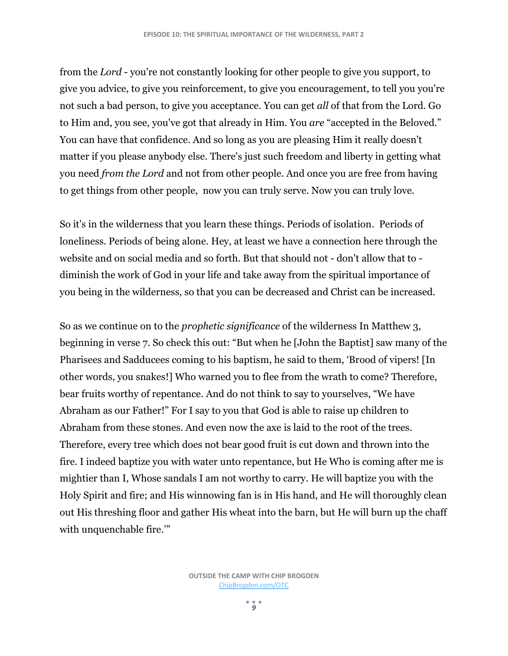from the *Lord* - you're not constantly looking for other people to give you support, to give you advice, to give you reinforcement, to give you encouragement, to tell you you're not such a bad person, to give you acceptance. You can get *all* of that from the Lord. Go to Him and, you see, you've got that already in Him. You *are* "accepted in the Beloved." You can have that confidence. And so long as you are pleasing Him it really doesn't matter if you please anybody else. There's just such freedom and liberty in getting what you need *from the Lord* and not from other people. And once you are free from having to get things from other people, now you can truly serve. Now you can truly love.

So it's in the wilderness that you learn these things. Periods of isolation. Periods of loneliness. Periods of being alone. Hey, at least we have a connection here through the website and on social media and so forth. But that should not - don't allow that to diminish the work of God in your life and take away from the spiritual importance of you being in the wilderness, so that you can be decreased and Christ can be increased.

So as we continue on to the *prophetic significance* of the wilderness In Matthew 3, beginning in verse 7. So check this out: "But when he [John the Baptist] saw many of the Pharisees and Sadducees coming to his baptism, he said to them, 'Brood of vipers! [In other words, you snakes!] Who warned you to flee from the wrath to come? Therefore, bear fruits worthy of repentance. And do not think to say to yourselves, "We have Abraham as our Father!" For I say to you that God is able to raise up children to Abraham from these stones. And even now the axe is laid to the root of the trees. Therefore, every tree which does not bear good fruit is cut down and thrown into the fire. I indeed baptize you with water unto repentance, but He Who is coming after me is mightier than I, Whose sandals I am not worthy to carry. He will baptize you with the Holy Spirit and fire; and His winnowing fan is in His hand, and He will thoroughly clean out His threshing floor and gather His wheat into the barn, but He will burn up the chaff with unquenchable fire.'"

 $\frac{9}{9}$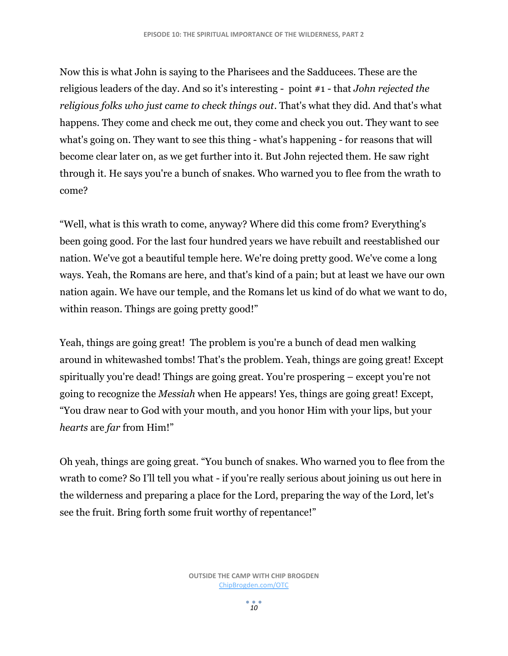Now this is what John is saying to the Pharisees and the Sadducees. These are the religious leaders of the day. And so it's interesting - point #1 - that *John rejected the religious folks who just came to check things out*. That's what they did. And that's what happens. They come and check me out, they come and check you out. They want to see what's going on. They want to see this thing - what's happening - for reasons that will become clear later on, as we get further into it. But John rejected them. He saw right through it. He says you're a bunch of snakes. Who warned you to flee from the wrath to come?

"Well, what is this wrath to come, anyway? Where did this come from? Everything's been going good. For the last four hundred years we have rebuilt and reestablished our nation. We've got a beautiful temple here. We're doing pretty good. We've come a long ways. Yeah, the Romans are here, and that's kind of a pain; but at least we have our own nation again. We have our temple, and the Romans let us kind of do what we want to do, within reason. Things are going pretty good!"

Yeah, things are going great! The problem is you're a bunch of dead men walking around in whitewashed tombs! That's the problem. Yeah, things are going great! Except spiritually you're dead! Things are going great. You're prospering – except you're not going to recognize the *Messiah* when He appears! Yes, things are going great! Except, "You draw near to God with your mouth, and you honor Him with your lips, but your *hearts* are *far* from Him!"

Oh yeah, things are going great. "You bunch of snakes. Who warned you to flee from the wrath to come? So I'll tell you what - if you're really serious about joining us out here in the wilderness and preparing a place for the Lord, preparing the way of the Lord, let's see the fruit. Bring forth some fruit worthy of repentance!"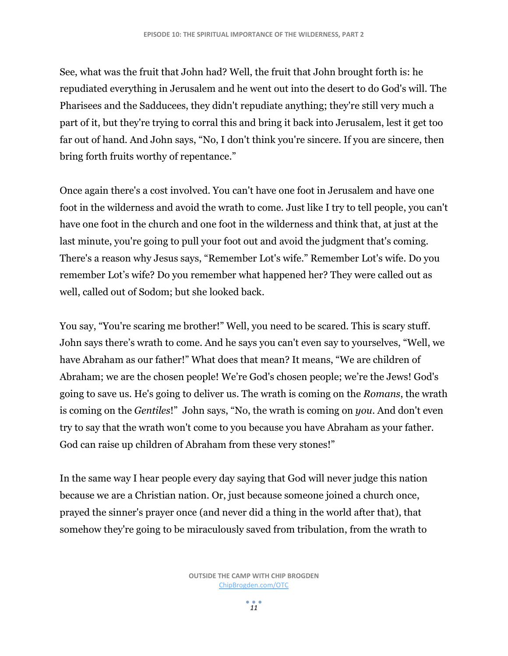See, what was the fruit that John had? Well, the fruit that John brought forth is: he repudiated everything in Jerusalem and he went out into the desert to do God's will. The Pharisees and the Sadducees, they didn't repudiate anything; they're still very much a part of it, but they're trying to corral this and bring it back into Jerusalem, lest it get too far out of hand. And John says, "No, I don't think you're sincere. If you are sincere, then bring forth fruits worthy of repentance."

Once again there's a cost involved. You can't have one foot in Jerusalem and have one foot in the wilderness and avoid the wrath to come. Just like I try to tell people, you can't have one foot in the church and one foot in the wilderness and think that, at just at the last minute, you're going to pull your foot out and avoid the judgment that's coming. There's a reason why Jesus says, "Remember Lot's wife." Remember Lot's wife. Do you remember Lot's wife? Do you remember what happened her? They were called out as well, called out of Sodom; but she looked back.

You say, "You're scaring me brother!" Well, you need to be scared. This is scary stuff. John says there's wrath to come. And he says you can't even say to yourselves, "Well, we have Abraham as our father!" What does that mean? It means, "We are children of Abraham; we are the chosen people! We're God's chosen people; we're the Jews! God's going to save us. He's going to deliver us. The wrath is coming on the *Romans*, the wrath is coming on the *Gentiles*!" John says, "No, the wrath is coming on *you*. And don't even try to say that the wrath won't come to you because you have Abraham as your father. God can raise up children of Abraham from these very stones!"

In the same way I hear people every day saying that God will never judge this nation because we are a Christian nation. Or, just because someone joined a church once, prayed the sinner's prayer once (and never did a thing in the world after that), that somehow they're going to be miraculously saved from tribulation, from the wrath to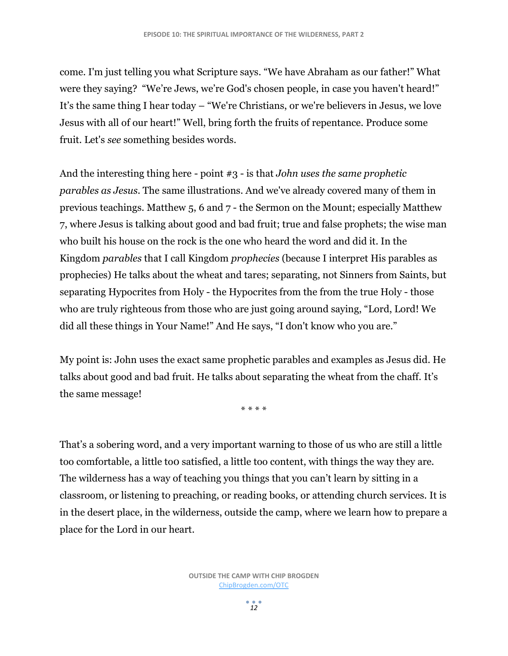come. I'm just telling you what Scripture says. "We have Abraham as our father!" What were they saying? "We're Jews, we're God's chosen people, in case you haven't heard!" It's the same thing I hear today – "We're Christians, or we're believers in Jesus, we love Jesus with all of our heart!" Well, bring forth the fruits of repentance. Produce some fruit. Let's *see* something besides words.

And the interesting thing here - point #3 - is that *John uses the same prophetic parables as Jesus*. The same illustrations. And we've already covered many of them in previous teachings. Matthew 5, 6 and 7 - the Sermon on the Mount; especially Matthew 7, where Jesus is talking about good and bad fruit; true and false prophets; the wise man who built his house on the rock is the one who heard the word and did it. In the Kingdom *parables* that I call Kingdom *prophecies* (because I interpret His parables as prophecies) He talks about the wheat and tares; separating, not Sinners from Saints, but separating Hypocrites from Holy - the Hypocrites from the from the true Holy - those who are truly righteous from those who are just going around saying, "Lord, Lord! We did all these things in Your Name!" And He says, "I don't know who you are."

My point is: John uses the exact same prophetic parables and examples as Jesus did. He talks about good and bad fruit. He talks about separating the wheat from the chaff. It's the same message!

\* \* \* \*

That's a sobering word, and a very important warning to those of us who are still a little too comfortable, a little to0 satisfied, a little too content, with things the way they are. The wilderness has a way of teaching you things that you can't learn by sitting in a classroom, or listening to preaching, or reading books, or attending church services. It is in the desert place, in the wilderness, outside the camp, where we learn how to prepare a place for the Lord in our heart.